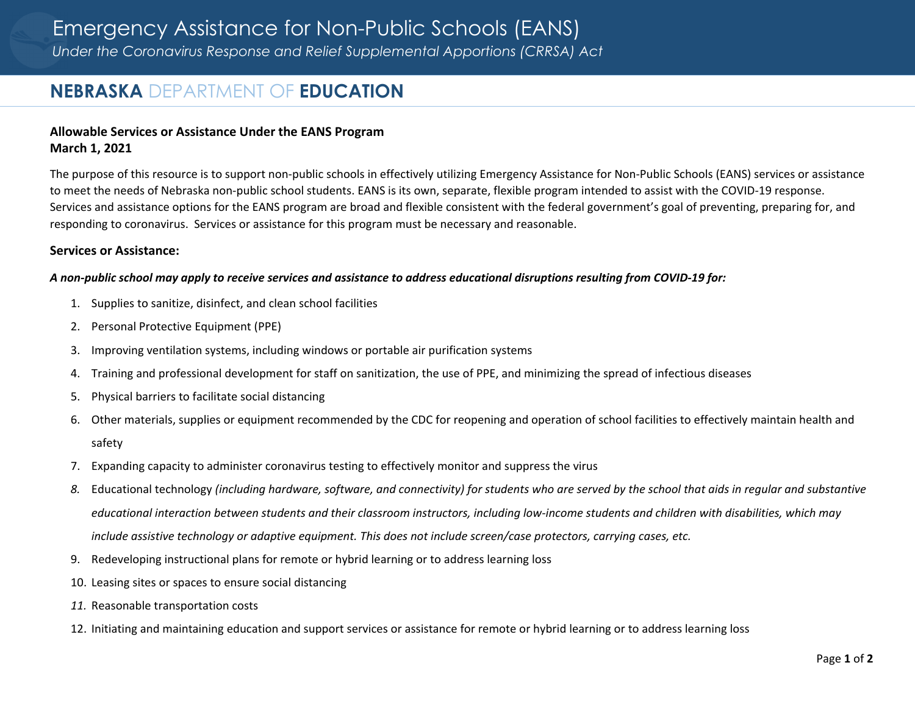# **NEBRASKA** DEPARTMENT OF **EDUCATION**

# **Allowable Services or Assistance Under the EANS Program March 1, 2021**

The purpose of this resource is to support non‐public schools in effectively utilizing Emergency Assistance for Non‐Public Schools (EANS) services or assistance to meet the needs of Nebraska non‐public school students. EANS is its own, separate, flexible program intended to assist with the COVID‐19 response. Services and assistance options for the EANS program are broad and flexible consistent with the federal government's goal of preventing, preparing for, and responding to coronavirus. Services or assistance for this program must be necessary and reasonable.

## **Services or Assistance:**

#### A non-public school may apply to receive services and assistance to address educational disruptions resulting from COVID-19 for:

- 1. Supplies to sanitize, disinfect, and clean school facilities
- 2. Personal Protective Equipment (PPE)
- 3. Improving ventilation systems, including windows or portable air purification systems
- 4.Training and professional development for staff on sanitization, the use of PPE, and minimizing the spread of infectious diseases
- 5.Physical barriers to facilitate social distancing
- 6. Other materials, supplies or equipment recommended by the CDC for reopening and operation of school facilities to effectively maintain health and safety
- 7. Expanding capacity to administer coronavirus testing to effectively monitor and suppress the virus
- 8. Educational technology (including hardware, software, and connectivity) for students who are served by the school that aids in regular and substantive educational interaction between students and their classroom instructors, including low-income students and children with disabilities, which may *include assistive technology or adaptive equipment. This does not include screen/case protectors, carrying cases, etc.*
- 9. Redeveloping instructional plans for remote or hybrid learning or to address learning loss
- 10. Leasing sites or spaces to ensure social distancing
- *11.* Reasonable transportation costs
- 12. Initiating and maintaining education and support services or assistance for remote or hybrid learning or to address learning loss